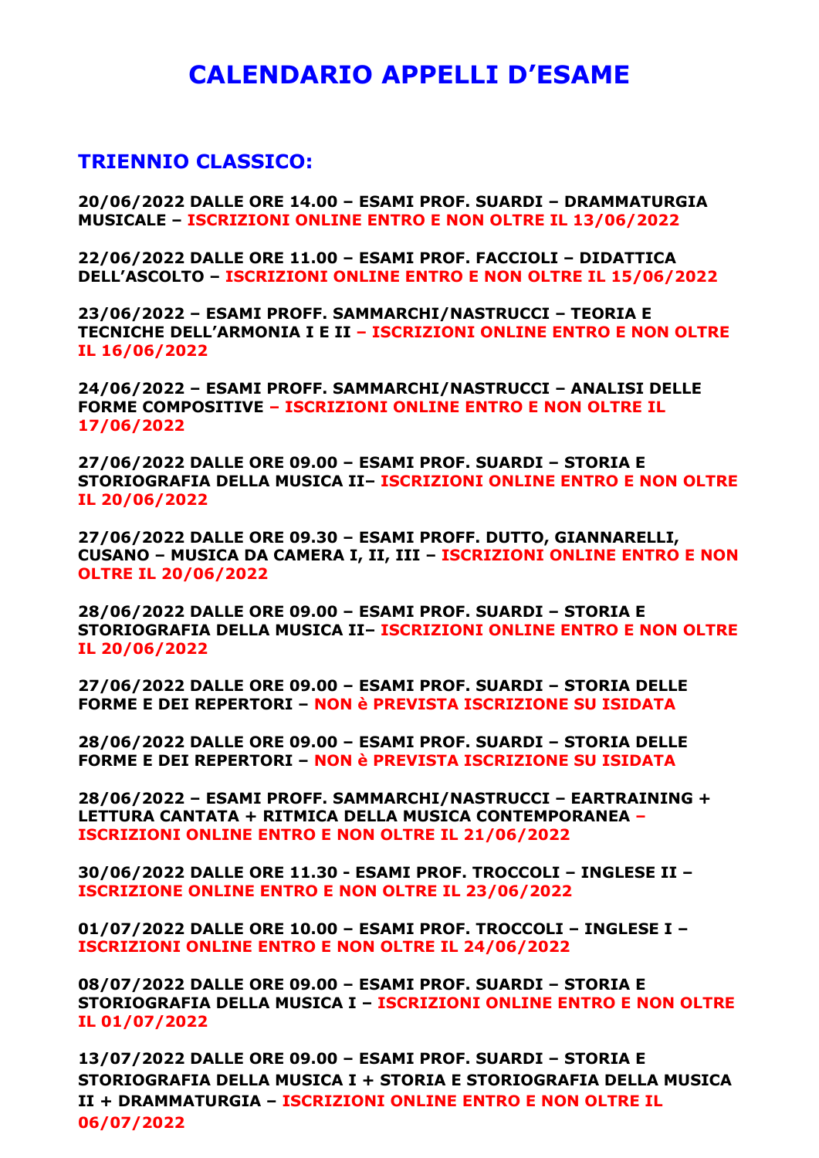# **CALENDARIO APPELLI D'ESAME**

## **TRIENNIO CLASSICO:**

**20/06/2022 DALLE ORE 14.00 – ESAMI PROF. SUARDI – DRAMMATURGIA MUSICALE – ISCRIZIONI ONLINE ENTRO E NON OLTRE IL 13/06/2022**

**22/06/2022 DALLE ORE 11.00 – ESAMI PROF. FACCIOLI – DIDATTICA DELL'ASCOLTO – ISCRIZIONI ONLINE ENTRO E NON OLTRE IL 15/06/2022**

**23/06/2022 – ESAMI PROFF. SAMMARCHI/NASTRUCCI – TEORIA E TECNICHE DELL'ARMONIA I E II – ISCRIZIONI ONLINE ENTRO E NON OLTRE IL 16/06/2022**

**24/06/2022 – ESAMI PROFF. SAMMARCHI/NASTRUCCI – ANALISI DELLE FORME COMPOSITIVE – ISCRIZIONI ONLINE ENTRO E NON OLTRE IL 17/06/2022**

**27/06/2022 DALLE ORE 09.00 – ESAMI PROF. SUARDI – STORIA E STORIOGRAFIA DELLA MUSICA II– ISCRIZIONI ONLINE ENTRO E NON OLTRE IL 20/06/2022**

**27/06/2022 DALLE ORE 09.30 – ESAMI PROFF. DUTTO, GIANNARELLI, CUSANO – MUSICA DA CAMERA I, II, III – ISCRIZIONI ONLINE ENTRO E NON OLTRE IL 20/06/2022**

**28/06/2022 DALLE ORE 09.00 – ESAMI PROF. SUARDI – STORIA E STORIOGRAFIA DELLA MUSICA II– ISCRIZIONI ONLINE ENTRO E NON OLTRE IL 20/06/2022**

**27/06/2022 DALLE ORE 09.00 – ESAMI PROF. SUARDI – STORIA DELLE FORME E DEI REPERTORI – NON è PREVISTA ISCRIZIONE SU ISIDATA**

**28/06/2022 DALLE ORE 09.00 – ESAMI PROF. SUARDI – STORIA DELLE FORME E DEI REPERTORI – NON è PREVISTA ISCRIZIONE SU ISIDATA**

**28/06/2022 – ESAMI PROFF. SAMMARCHI/NASTRUCCI – EARTRAINING + LETTURA CANTATA + RITMICA DELLA MUSICA CONTEMPORANEA – ISCRIZIONI ONLINE ENTRO E NON OLTRE IL 21/06/2022**

**30/06/2022 DALLE ORE 11.30 - ESAMI PROF. TROCCOLI – INGLESE II – ISCRIZIONE ONLINE ENTRO E NON OLTRE IL 23/06/2022**

**01/07/2022 DALLE ORE 10.00 – ESAMI PROF. TROCCOLI – INGLESE I – ISCRIZIONI ONLINE ENTRO E NON OLTRE IL 24/06/2022**

**08/07/2022 DALLE ORE 09.00 – ESAMI PROF. SUARDI – STORIA E STORIOGRAFIA DELLA MUSICA I – ISCRIZIONI ONLINE ENTRO E NON OLTRE IL 01/07/2022**

**13/07/2022 DALLE ORE 09.00 – ESAMI PROF. SUARDI – STORIA E STORIOGRAFIA DELLA MUSICA I + STORIA E STORIOGRAFIA DELLA MUSICA II + DRAMMATURGIA – ISCRIZIONI ONLINE ENTRO E NON OLTRE IL 06/07/2022**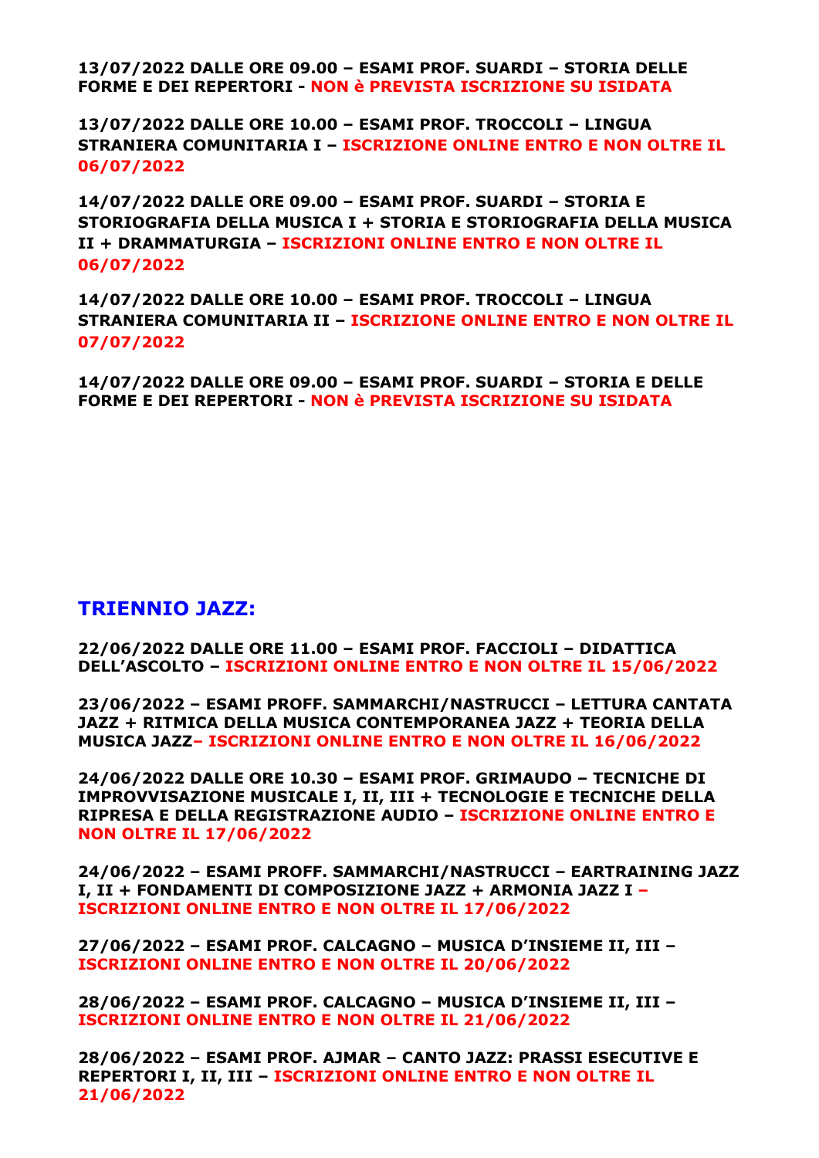**13/07/2022 DALLE ORE 09.00 – ESAMI PROF. SUARDI – STORIA DELLE FORME E DEI REPERTORI - NON è PREVISTA ISCRIZIONE SU ISIDATA**

**13/07/2022 DALLE ORE 10.00 – ESAMI PROF. TROCCOLI – LINGUA STRANIERA COMUNITARIA I – ISCRIZIONE ONLINE ENTRO E NON OLTRE IL 06/07/2022**

**14/07/2022 DALLE ORE 09.00 – ESAMI PROF. SUARDI – STORIA E STORIOGRAFIA DELLA MUSICA I + STORIA E STORIOGRAFIA DELLA MUSICA II + DRAMMATURGIA – ISCRIZIONI ONLINE ENTRO E NON OLTRE IL 06/07/2022**

**14/07/2022 DALLE ORE 10.00 – ESAMI PROF. TROCCOLI – LINGUA STRANIERA COMUNITARIA II – ISCRIZIONE ONLINE ENTRO E NON OLTRE IL 07/07/2022**

**14/07/2022 DALLE ORE 09.00 – ESAMI PROF. SUARDI – STORIA E DELLE FORME E DEI REPERTORI - NON è PREVISTA ISCRIZIONE SU ISIDATA**

### **TRIENNIO JAZZ:**

**22/06/2022 DALLE ORE 11.00 – ESAMI PROF. FACCIOLI – DIDATTICA DELL'ASCOLTO – ISCRIZIONI ONLINE ENTRO E NON OLTRE IL 15/06/2022**

**23/06/2022 – ESAMI PROFF. SAMMARCHI/NASTRUCCI – LETTURA CANTATA JAZZ + RITMICA DELLA MUSICA CONTEMPORANEA JAZZ + TEORIA DELLA MUSICA JAZZ– ISCRIZIONI ONLINE ENTRO E NON OLTRE IL 16/06/2022**

**24/06/2022 DALLE ORE 10.30 – ESAMI PROF. GRIMAUDO – TECNICHE DI IMPROVVISAZIONE MUSICALE I, II, III + TECNOLOGIE E TECNICHE DELLA RIPRESA E DELLA REGISTRAZIONE AUDIO – ISCRIZIONE ONLINE ENTRO E NON OLTRE IL 17/06/2022**

**24/06/2022 – ESAMI PROFF. SAMMARCHI/NASTRUCCI – EARTRAINING JAZZ I, II + FONDAMENTI DI COMPOSIZIONE JAZZ + ARMONIA JAZZ I – ISCRIZIONI ONLINE ENTRO E NON OLTRE IL 17/06/2022**

**27/06/2022 – ESAMI PROF. CALCAGNO – MUSICA D'INSIEME II, III – ISCRIZIONI ONLINE ENTRO E NON OLTRE IL 20/06/2022**

**28/06/2022 – ESAMI PROF. CALCAGNO – MUSICA D'INSIEME II, III – ISCRIZIONI ONLINE ENTRO E NON OLTRE IL 21/06/2022**

**28/06/2022 – ESAMI PROF. AJMAR – CANTO JAZZ: PRASSI ESECUTIVE E REPERTORI I, II, III – ISCRIZIONI ONLINE ENTRO E NON OLTRE IL 21/06/2022**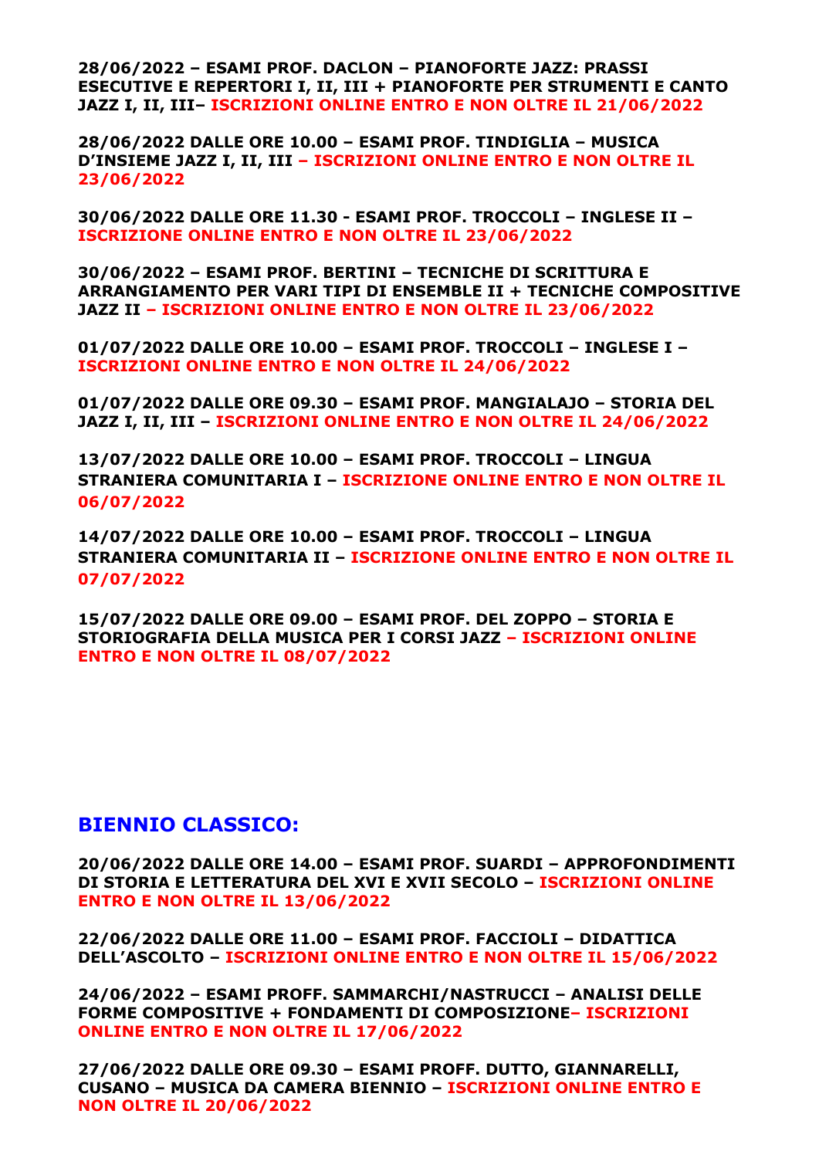**28/06/2022 – ESAMI PROF. DACLON – PIANOFORTE JAZZ: PRASSI ESECUTIVE E REPERTORI I, II, III + PIANOFORTE PER STRUMENTI E CANTO JAZZ I, II, III– ISCRIZIONI ONLINE ENTRO E NON OLTRE IL 21/06/2022**

**28/06/2022 DALLE ORE 10.00 – ESAMI PROF. TINDIGLIA – MUSICA D'INSIEME JAZZ I, II, III – ISCRIZIONI ONLINE ENTRO E NON OLTRE IL 23/06/2022**

**30/06/2022 DALLE ORE 11.30 - ESAMI PROF. TROCCOLI – INGLESE II – ISCRIZIONE ONLINE ENTRO E NON OLTRE IL 23/06/2022**

**30/06/2022 – ESAMI PROF. BERTINI – TECNICHE DI SCRITTURA E ARRANGIAMENTO PER VARI TIPI DI ENSEMBLE II + TECNICHE COMPOSITIVE JAZZ II – ISCRIZIONI ONLINE ENTRO E NON OLTRE IL 23/06/2022**

**01/07/2022 DALLE ORE 10.00 – ESAMI PROF. TROCCOLI – INGLESE I – ISCRIZIONI ONLINE ENTRO E NON OLTRE IL 24/06/2022**

**01/07/2022 DALLE ORE 09.30 – ESAMI PROF. MANGIALAJO – STORIA DEL JAZZ I, II, III – ISCRIZIONI ONLINE ENTRO E NON OLTRE IL 24/06/2022**

**13/07/2022 DALLE ORE 10.00 – ESAMI PROF. TROCCOLI – LINGUA STRANIERA COMUNITARIA I – ISCRIZIONE ONLINE ENTRO E NON OLTRE IL 06/07/2022**

**14/07/2022 DALLE ORE 10.00 – ESAMI PROF. TROCCOLI – LINGUA STRANIERA COMUNITARIA II – ISCRIZIONE ONLINE ENTRO E NON OLTRE IL 07/07/2022**

**15/07/2022 DALLE ORE 09.00 – ESAMI PROF. DEL ZOPPO – STORIA E STORIOGRAFIA DELLA MUSICA PER I CORSI JAZZ – ISCRIZIONI ONLINE ENTRO E NON OLTRE IL 08/07/2022**

#### **BIENNIO CLASSICO:**

**20/06/2022 DALLE ORE 14.00 – ESAMI PROF. SUARDI – APPROFONDIMENTI DI STORIA E LETTERATURA DEL XVI E XVII SECOLO – ISCRIZIONI ONLINE ENTRO E NON OLTRE IL 13/06/2022**

**22/06/2022 DALLE ORE 11.00 – ESAMI PROF. FACCIOLI – DIDATTICA DELL'ASCOLTO – ISCRIZIONI ONLINE ENTRO E NON OLTRE IL 15/06/2022**

**24/06/2022 – ESAMI PROFF. SAMMARCHI/NASTRUCCI – ANALISI DELLE FORME COMPOSITIVE + FONDAMENTI DI COMPOSIZIONE– ISCRIZIONI ONLINE ENTRO E NON OLTRE IL 17/06/2022**

**27/06/2022 DALLE ORE 09.30 – ESAMI PROFF. DUTTO, GIANNARELLI, CUSANO – MUSICA DA CAMERA BIENNIO – ISCRIZIONI ONLINE ENTRO E NON OLTRE IL 20/06/2022**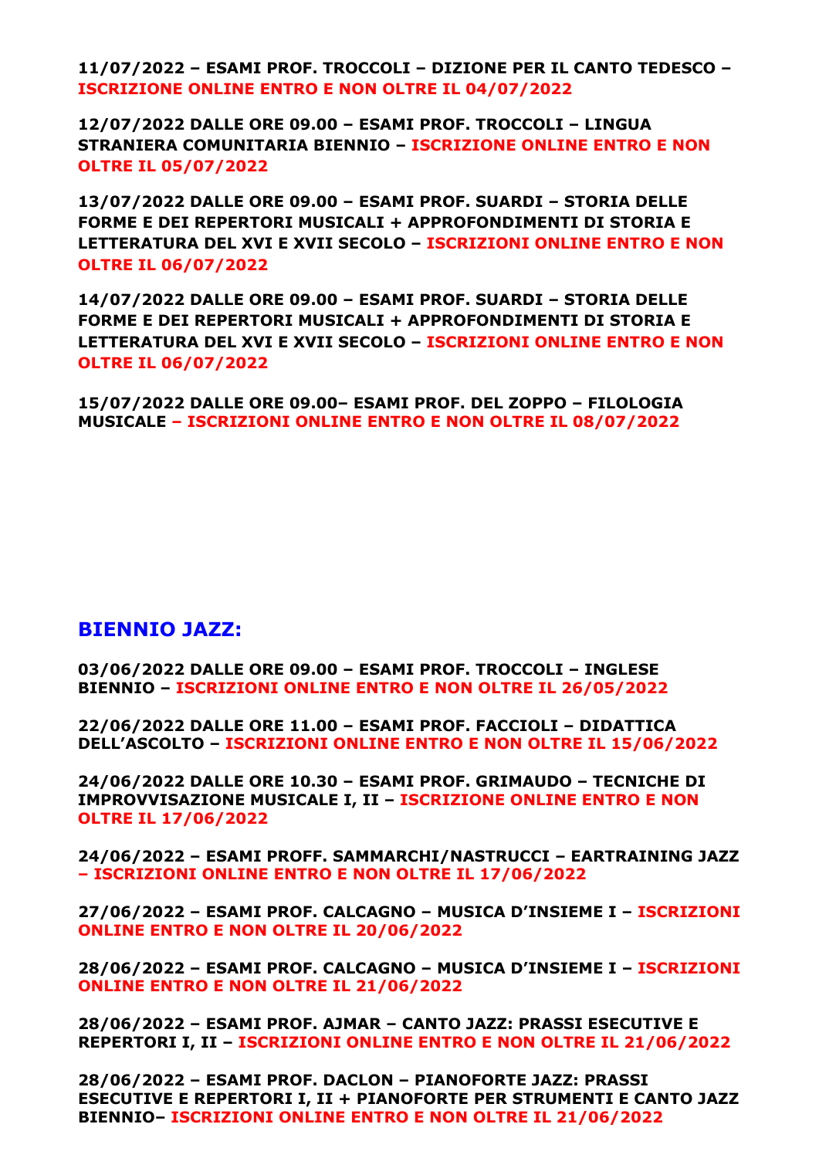**11/07/2022 – ESAMI PROF. TROCCOLI – DIZIONE PER IL CANTO TEDESCO – ISCRIZIONE ONLINE ENTRO E NON OLTRE IL 04/07/2022**

**12/07/2022 DALLE ORE 09.00 – ESAMI PROF. TROCCOLI – LINGUA STRANIERA COMUNITARIA BIENNIO – ISCRIZIONE ONLINE ENTRO E NON OLTRE IL 05/07/2022**

**13/07/2022 DALLE ORE 09.00 – ESAMI PROF. SUARDI – STORIA DELLE FORME E DEI REPERTORI MUSICALI + APPROFONDIMENTI DI STORIA E LETTERATURA DEL XVI E XVII SECOLO – ISCRIZIONI ONLINE ENTRO E NON OLTRE IL 06/07/2022**

**14/07/2022 DALLE ORE 09.00 – ESAMI PROF. SUARDI – STORIA DELLE FORME E DEI REPERTORI MUSICALI + APPROFONDIMENTI DI STORIA E LETTERATURA DEL XVI E XVII SECOLO – ISCRIZIONI ONLINE ENTRO E NON OLTRE IL 06/07/2022**

**15/07/2022 DALLE ORE 09.00– ESAMI PROF. DEL ZOPPO – FILOLOGIA MUSICALE – ISCRIZIONI ONLINE ENTRO E NON OLTRE IL 08/07/2022**

### **BIENNIO JAZZ:**

**03/06/2022 DALLE ORE 09.00 – ESAMI PROF. TROCCOLI – INGLESE BIENNIO – ISCRIZIONI ONLINE ENTRO E NON OLTRE IL 26/05/2022**

**22/06/2022 DALLE ORE 11.00 – ESAMI PROF. FACCIOLI – DIDATTICA DELL'ASCOLTO – ISCRIZIONI ONLINE ENTRO E NON OLTRE IL 15/06/2022**

**24/06/2022 DALLE ORE 10.30 – ESAMI PROF. GRIMAUDO – TECNICHE DI IMPROVVISAZIONE MUSICALE I, II – ISCRIZIONE ONLINE ENTRO E NON OLTRE IL 17/06/2022**

**24/06/2022 – ESAMI PROFF. SAMMARCHI/NASTRUCCI – EARTRAINING JAZZ – ISCRIZIONI ONLINE ENTRO E NON OLTRE IL 17/06/2022**

**27/06/2022 – ESAMI PROF. CALCAGNO – MUSICA D'INSIEME I – ISCRIZIONI ONLINE ENTRO E NON OLTRE IL 20/06/2022**

**28/06/2022 – ESAMI PROF. CALCAGNO – MUSICA D'INSIEME I – ISCRIZIONI ONLINE ENTRO E NON OLTRE IL 21/06/2022**

**28/06/2022 – ESAMI PROF. AJMAR – CANTO JAZZ: PRASSI ESECUTIVE E REPERTORI I, II – ISCRIZIONI ONLINE ENTRO E NON OLTRE IL 21/06/2022**

**28/06/2022 – ESAMI PROF. DACLON – PIANOFORTE JAZZ: PRASSI ESECUTIVE E REPERTORI I, II + PIANOFORTE PER STRUMENTI E CANTO JAZZ BIENNIO– ISCRIZIONI ONLINE ENTRO E NON OLTRE IL 21/06/2022**